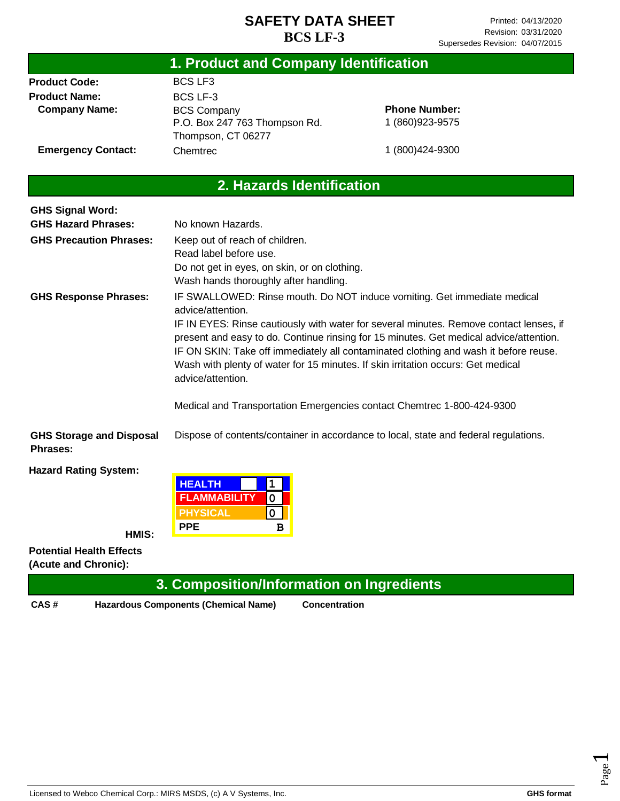| 1. Product and Company Identification              |                                                                                      |                                                                                        |
|----------------------------------------------------|--------------------------------------------------------------------------------------|----------------------------------------------------------------------------------------|
| <b>Product Code:</b>                               | <b>BCS LF3</b>                                                                       |                                                                                        |
| <b>Product Name:</b>                               | <b>BCS LF-3</b>                                                                      |                                                                                        |
| <b>Company Name:</b>                               | <b>BCS Company</b>                                                                   | <b>Phone Number:</b>                                                                   |
|                                                    | P.O. Box 247 763 Thompson Rd.                                                        | 1 (860) 923-9575                                                                       |
|                                                    | Thompson, CT 06277                                                                   |                                                                                        |
| <b>Emergency Contact:</b>                          | Chemtrec                                                                             | 1 (800) 424-9300                                                                       |
|                                                    | 2. Hazards Identification                                                            |                                                                                        |
| <b>GHS Signal Word:</b>                            |                                                                                      |                                                                                        |
| <b>GHS Hazard Phrases:</b>                         | No known Hazards.                                                                    |                                                                                        |
| <b>GHS Precaution Phrases:</b>                     | Keep out of reach of children.                                                       |                                                                                        |
|                                                    | Read label before use.                                                               |                                                                                        |
|                                                    | Do not get in eyes, on skin, or on clothing.                                         |                                                                                        |
|                                                    | Wash hands thoroughly after handling.                                                |                                                                                        |
| <b>GHS Response Phrases:</b>                       |                                                                                      | IF SWALLOWED: Rinse mouth. Do NOT induce vomiting. Get immediate medical               |
|                                                    | advice/attention.                                                                    |                                                                                        |
|                                                    |                                                                                      | IF IN EYES: Rinse cautiously with water for several minutes. Remove contact lenses, if |
|                                                    |                                                                                      | present and easy to do. Continue rinsing for 15 minutes. Get medical advice/attention. |
|                                                    |                                                                                      | IF ON SKIN: Take off immediately all contaminated clothing and wash it before reuse.   |
|                                                    | Wash with plenty of water for 15 minutes. If skin irritation occurs: Get medical     |                                                                                        |
|                                                    | advice/attention.                                                                    |                                                                                        |
|                                                    | Medical and Transportation Emergencies contact Chemtrec 1-800-424-9300               |                                                                                        |
| <b>GHS Storage and Disposal</b><br><b>Phrases:</b> | Dispose of contents/container in accordance to local, state and federal regulations. |                                                                                        |
| <b>Hazard Rating System:</b>                       |                                                                                      |                                                                                        |
|                                                    | <b>HEALTH</b><br>$\mathbf{1}$                                                        |                                                                                        |
|                                                    | <b>FLAMMABILITY</b><br>0                                                             |                                                                                        |
|                                                    | <b>PHYSICAL</b><br>$\mathbf 0$                                                       |                                                                                        |
|                                                    | <b>PPE</b><br>в                                                                      |                                                                                        |
| HMIS:                                              |                                                                                      |                                                                                        |

**Potential Health Effects (Acute and Chronic):**

# **3. Composition/Information on Ingredients**

**CAS # Hazardous Components (Chemical Name) Concentration**

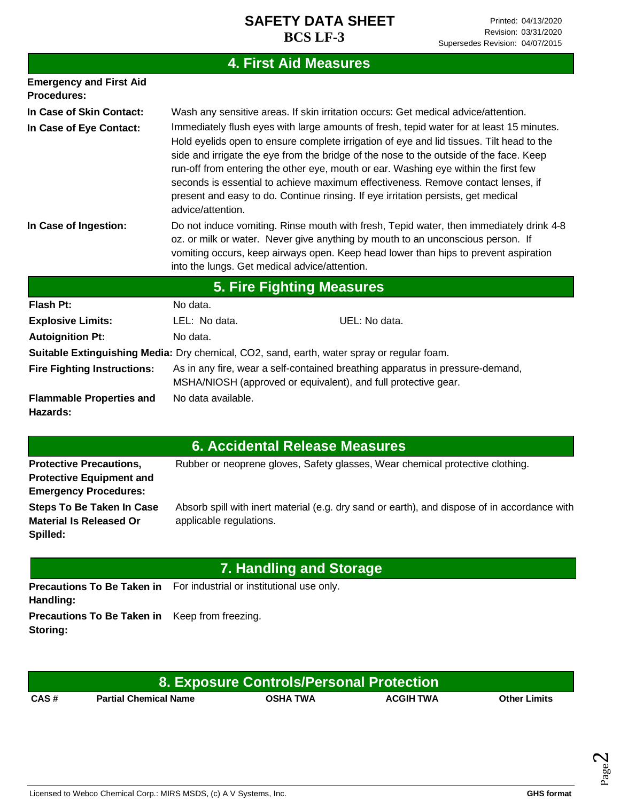# **4. First Aid Measures**

| <b>Emergency and First Aid</b><br>Procedures:                                              |                                                                                                                                                                                                                                                                                                                                                                                                                                                                                                                                                                     |  |  |
|--------------------------------------------------------------------------------------------|---------------------------------------------------------------------------------------------------------------------------------------------------------------------------------------------------------------------------------------------------------------------------------------------------------------------------------------------------------------------------------------------------------------------------------------------------------------------------------------------------------------------------------------------------------------------|--|--|
| In Case of Skin Contact:                                                                   | Wash any sensitive areas. If skin irritation occurs: Get medical advice/attention.                                                                                                                                                                                                                                                                                                                                                                                                                                                                                  |  |  |
| In Case of Eye Contact:                                                                    | Immediately flush eyes with large amounts of fresh, tepid water for at least 15 minutes.<br>Hold eyelids open to ensure complete irrigation of eye and lid tissues. Tilt head to the<br>side and irrigate the eye from the bridge of the nose to the outside of the face. Keep<br>run-off from entering the other eye, mouth or ear. Washing eye within the first few<br>seconds is essential to achieve maximum effectiveness. Remove contact lenses, if<br>present and easy to do. Continue rinsing. If eye irritation persists, get medical<br>advice/attention. |  |  |
| In Case of Ingestion:                                                                      | Do not induce vomiting. Rinse mouth with fresh, Tepid water, then immediately drink 4-8<br>oz. or milk or water. Never give anything by mouth to an unconscious person. If<br>vomiting occurs, keep airways open. Keep head lower than hips to prevent aspiration<br>into the lungs. Get medical advice/attention.                                                                                                                                                                                                                                                  |  |  |
| <b>5. Fire Fighting Measures</b>                                                           |                                                                                                                                                                                                                                                                                                                                                                                                                                                                                                                                                                     |  |  |
| <b>Flash Pt:</b>                                                                           | No data.                                                                                                                                                                                                                                                                                                                                                                                                                                                                                                                                                            |  |  |
| <b>Explosive Limits:</b>                                                                   | LEL: No data.<br>UEL: No data.                                                                                                                                                                                                                                                                                                                                                                                                                                                                                                                                      |  |  |
| <b>Autoignition Pt:</b>                                                                    | No data.                                                                                                                                                                                                                                                                                                                                                                                                                                                                                                                                                            |  |  |
| Suitable Extinguishing Media: Dry chemical, CO2, sand, earth, water spray or regular foam. |                                                                                                                                                                                                                                                                                                                                                                                                                                                                                                                                                                     |  |  |
| <b>Fire Fighting Instructions:</b>                                                         | As in any fire, wear a self-contained breathing apparatus in pressure-demand,<br>MSHA/NIOSH (approved or equivalent), and full protective gear.                                                                                                                                                                                                                                                                                                                                                                                                                     |  |  |
| <b>Flammable Properties and</b><br>Hazards:                                                | No data available.                                                                                                                                                                                                                                                                                                                                                                                                                                                                                                                                                  |  |  |
|                                                                                            | <b>C. Accidental Pelesce Messures</b>                                                                                                                                                                                                                                                                                                                                                                                                                                                                                                                               |  |  |

|                                                                                                   | <b>6. Accidental Release Measures</b>                                                                                   |  |  |
|---------------------------------------------------------------------------------------------------|-------------------------------------------------------------------------------------------------------------------------|--|--|
| <b>Protective Precautions,</b><br><b>Protective Equipment and</b><br><b>Emergency Procedures:</b> | Rubber or neoprene gloves, Safety glasses, Wear chemical protective clothing.                                           |  |  |
| <b>Steps To Be Taken In Case</b><br><b>Material Is Released Or</b><br>Spilled:                    | Absorb spill with inert material (e.g. dry sand or earth), and dispose of in accordance with<br>applicable regulations. |  |  |
| 7. Handling and Storage                                                                           |                                                                                                                         |  |  |
| Handling:                                                                                         | <b>Precautions To Be Taken in</b> For industrial or institutional use only.                                             |  |  |

**Precautions To Be Taken in**  Keep from freezing. **Storing:**

| 8. Exposure Controls/Personal Protection |                       |                 |                  |                     |
|------------------------------------------|-----------------------|-----------------|------------------|---------------------|
| CAS#                                     | Partial Chemical Name | <b>OSHA TWA</b> | <b>ACGIH TWA</b> | <b>Other Limits</b> |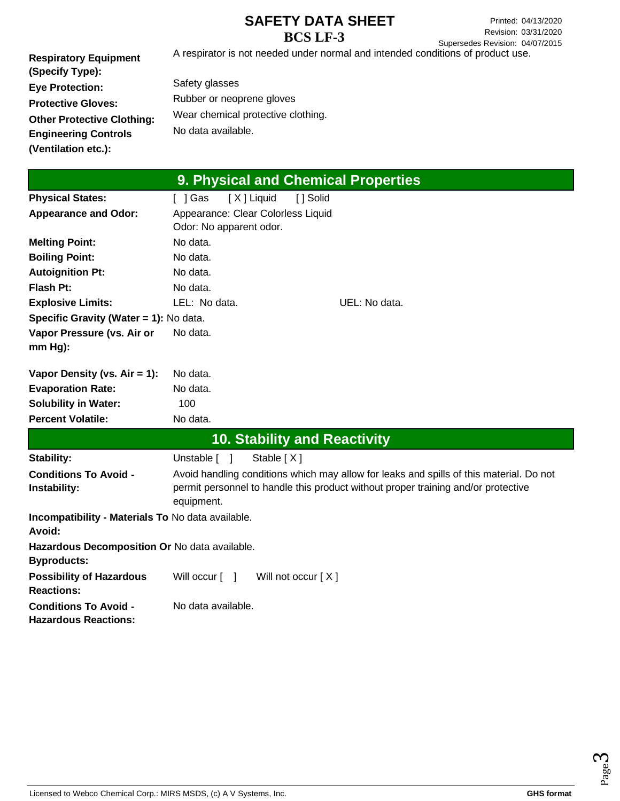**Respiratory Equipment (Specify Type): Eye Protection: Protective Gloves: Other Protective Clothing: Engineering Controls (Ventilation etc.):** A respirator is not needed under normal and intended conditions of product use. Safety glasses Rubber or neoprene gloves Wear chemical protective clothing. No data available.

| 9. Physical and Chemical Properties                         |                                                                                                 |  |
|-------------------------------------------------------------|-------------------------------------------------------------------------------------------------|--|
| <b>Physical States:</b>                                     | [X] Liquid<br>[ ] Gas<br>[ ] Solid                                                              |  |
| <b>Appearance and Odor:</b>                                 | Appearance: Clear Colorless Liquid                                                              |  |
|                                                             | Odor: No apparent odor.                                                                         |  |
| <b>Melting Point:</b>                                       | No data.                                                                                        |  |
| <b>Boiling Point:</b>                                       | No data.                                                                                        |  |
| <b>Autoignition Pt:</b>                                     | No data.                                                                                        |  |
| <b>Flash Pt:</b>                                            | No data.                                                                                        |  |
| <b>Explosive Limits:</b>                                    | LEL: No data.<br>UEL: No data.                                                                  |  |
| Specific Gravity (Water = 1): No data.                      |                                                                                                 |  |
| Vapor Pressure (vs. Air or                                  | No data.                                                                                        |  |
| $mm Hg$ ):                                                  |                                                                                                 |  |
| Vapor Density (vs. $Air = 1$ ):                             | No data.                                                                                        |  |
| <b>Evaporation Rate:</b>                                    | No data.                                                                                        |  |
| <b>Solubility in Water:</b>                                 | 100                                                                                             |  |
| <b>Percent Volatile:</b>                                    | No data.                                                                                        |  |
|                                                             | <b>10. Stability and Reactivity</b>                                                             |  |
| Stability:                                                  | Unstable [ ]<br>Stable $[X]$                                                                    |  |
| <b>Conditions To Avoid -</b>                                | Avoid handling conditions which may allow for leaks and spills of this material. Do not         |  |
| Instability:                                                | permit personnel to handle this product without proper training and/or protective<br>equipment. |  |
| Incompatibility - Materials To No data available.           |                                                                                                 |  |
| Avoid:                                                      |                                                                                                 |  |
| Hazardous Decomposition Or No data available.               |                                                                                                 |  |
| <b>Byproducts:</b>                                          |                                                                                                 |  |
| <b>Possibility of Hazardous</b>                             | Will not occur [X]<br>Will occur $\lceil \quad \rceil$                                          |  |
| <b>Reactions:</b>                                           |                                                                                                 |  |
| <b>Conditions To Avoid -</b><br><b>Hazardous Reactions:</b> | No data available.                                                                              |  |

Page ო